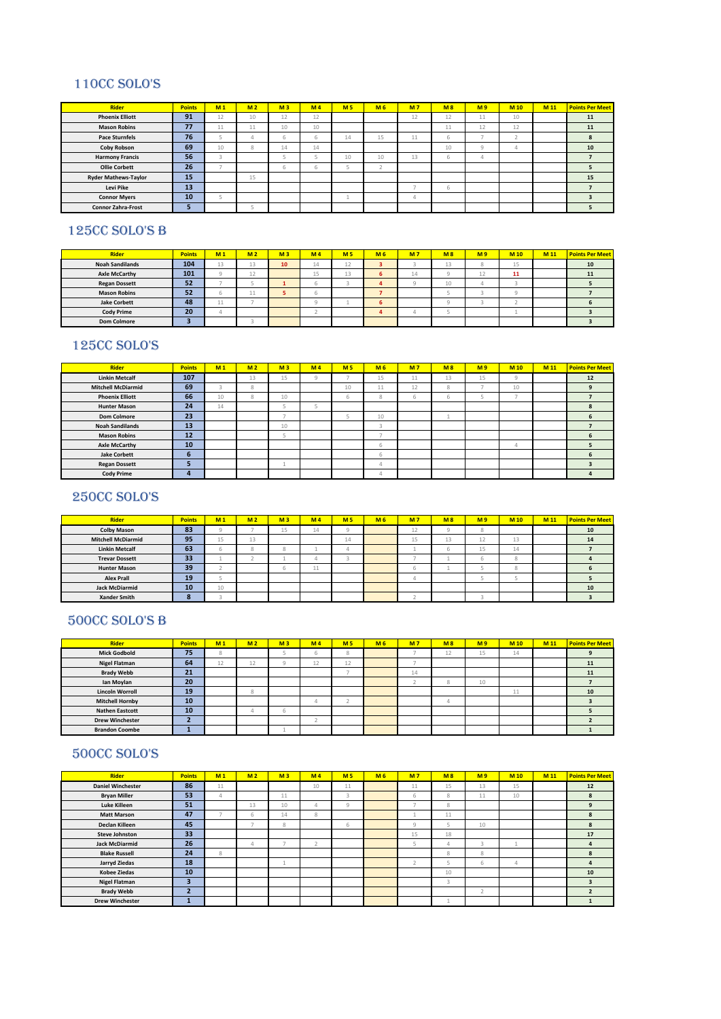## 110CC SOLO'S

| <b>Rider</b>                | <b>Points</b> | M <sub>1</sub> | M <sub>2</sub> | M <sub>3</sub> | M <sub>4</sub> | M <sub>5</sub> | M <sub>6</sub> | M <sub>7</sub> | M8 | M <sub>9</sub> | M <sub>10</sub> | M 11 | <b>Points Per Meet</b> |
|-----------------------------|---------------|----------------|----------------|----------------|----------------|----------------|----------------|----------------|----|----------------|-----------------|------|------------------------|
| <b>Phoenix Elliott</b>      | 91            | 12             | 10             | 12             | 12             |                |                | 12             | 12 | 11             | 10              |      | 11                     |
| <b>Mason Robins</b>         | 77            | $A$ $A$<br>44  | 11             | 10             | 10             |                |                |                | 11 | 12             | 12              |      | 11                     |
| <b>Pace Sturnfels</b>       | 76            |                |                | ь              | n              | 14             | 15             | 11             | ь  |                |                 |      | 8                      |
| <b>Coby Robson</b>          | 69            | 10             | 8              | 14             | 14             |                |                |                | 10 | $\sim$         |                 |      | 10                     |
| <b>Harmony Francis</b>      | 56            |                |                |                |                | 10             | 10             | 13             | b  |                |                 |      |                        |
| <b>Ollie Corbett</b>        | 26            |                |                | b              | b.             |                |                |                |    |                |                 |      |                        |
| <b>Ryder Mathews-Taylor</b> | 15            |                | 15             |                |                |                |                |                |    |                |                 |      | 15                     |
| Levi Pike                   | 13            |                |                |                |                |                |                |                | b  |                |                 |      |                        |
| <b>Connor Myers</b>         | 10            |                |                |                |                |                |                | 4              |    |                |                 |      | 3                      |
| <b>Connor Zahra-Frost</b>   |               |                |                |                |                |                |                |                |    |                |                 |      |                        |

#### 125CC SOLO'S B

| <b>Rider</b>           | <b>Points</b> | M <sub>1</sub> | M <sub>2</sub>  | M <sub>3</sub> | M <sub>4</sub> | <b>M5</b> | M <sub>6</sub> | M <sub>7</sub> | M8      | M <sub>9</sub> | M 10 | M <sub>11</sub> | <b>Points Per Meet</b> |
|------------------------|---------------|----------------|-----------------|----------------|----------------|-----------|----------------|----------------|---------|----------------|------|-----------------|------------------------|
| <b>Noah Sandilands</b> | 104           | 12             | 13              | 10             | 14             | ᆠ         |                |                | 12<br>ᅭ |                | 15   |                 | 10                     |
| <b>Axle McCarthy</b>   | 101           |                | 12<br>ᅭ         |                | 15             | -         |                | 14             |         | ΤZ             | 11   |                 | 11                     |
| <b>Regan Dossett</b>   | 52            |                |                 |                |                |           |                |                | 10      |                |      |                 |                        |
| <b>Mason Robins</b>    | 52            |                | 14<br><b>LL</b> |                |                |           |                |                |         |                |      |                 |                        |
| <b>Jake Corbett</b>    | 48            | -              |                 |                |                |           |                |                |         |                |      |                 |                        |
| <b>Cody Prime</b>      | 20            |                |                 |                |                |           |                |                |         |                |      |                 |                        |
| <b>Dom Colmore</b>     |               |                |                 |                |                |           |                |                |         |                |      |                 |                        |

# 125CC SOLO'S

| <b>Rider</b>              | <b>Points</b> | M <sub>1</sub> | M <sub>2</sub> | M <sub>3</sub> | M <sub>4</sub> | M <sub>5</sub> | M <sub>6</sub> | M <sub>7</sub> | M8 | M <sub>9</sub> | M 10 | M <sub>11</sub> | <b>Points Per Meet</b> |
|---------------------------|---------------|----------------|----------------|----------------|----------------|----------------|----------------|----------------|----|----------------|------|-----------------|------------------------|
| <b>Linkin Metcalf</b>     | 107           |                | 13             | 15             | $\alpha$       |                | 15             | 11             | 13 | 15             | Q    |                 | 12                     |
| <b>Mitchell McDiarmid</b> | 69            |                | 8              |                |                | 10             | 11             | 12             | 8  |                | 10   |                 | 9                      |
| <b>Phoenix Elliott</b>    | 66            | 10             | 8              | 10             |                | 6              | 8              | 6              | b  |                |      |                 |                        |
| <b>Hunter Mason</b>       | 24            | 14             |                |                |                |                |                |                |    |                |      |                 | 8                      |
| <b>Dom Colmore</b>        | 23            |                |                |                |                |                | 10             |                |    |                |      |                 | 6                      |
| <b>Noah Sandilands</b>    | 13            |                |                | 10             |                |                | $\sim$<br>-5   |                |    |                |      |                 |                        |
| <b>Mason Robins</b>       | 12            |                |                |                |                |                |                |                |    |                |      |                 | 6                      |
| <b>Axle McCarthy</b>      | 10            |                |                |                |                |                | b              |                |    |                | 4    |                 |                        |
| <b>Jake Corbett</b>       | 6             |                |                |                |                |                | b              |                |    |                |      |                 | 6                      |
| <b>Regan Dossett</b>      |               |                |                |                |                |                | 4              |                |    |                |      |                 |                        |
| <b>Cody Prime</b>         | 4             |                |                |                |                |                | 4              |                |    |                |      |                 | 4                      |

## 250CC SOLO'S

| <b>Rider</b>              | <b>Points</b> | M <sub>1</sub> | M <sub>2</sub> | M <sub>3</sub> | M <sub>4</sub> | M <sub>5</sub> | M <sub>6</sub> | <b>M7</b> | M8 | M <sub>9</sub> | M 10 | M <sub>11</sub> | <b>Points Per Meet</b> |
|---------------------------|---------------|----------------|----------------|----------------|----------------|----------------|----------------|-----------|----|----------------|------|-----------------|------------------------|
| <b>Colby Mason</b>        | 83            |                |                | 15             | 14             |                |                | ᆠ         |    |                |      |                 | 10                     |
| <b>Mitchell McDiarmid</b> | 95            | 15             | ᅭ              |                |                | 14             |                | رر        | 13 | ᅩ              | 13   |                 | 14                     |
| <b>Linkin Metcalf</b>     | 63            |                | $\sim$<br>8    |                |                |                |                |           |    | ᆠ              | 14   |                 |                        |
| <b>Trevar Dossett</b>     | 33            |                |                |                |                |                |                |           |    |                |      |                 |                        |
| <b>Hunter Mason</b>       | 39            |                |                |                | . .            |                |                |           |    |                |      |                 |                        |
| <b>Alex Prall</b>         | 19            |                |                |                |                |                |                |           |    |                |      |                 |                        |
| <b>Jack McDiarmid</b>     | 10            | 10             |                |                |                |                |                |           |    |                |      |                 | 10                     |
| <b>Xander Smith</b>       |               |                |                |                |                |                |                |           |    |                |      |                 |                        |

## 500CC SOLO'S B

| <b>Rider</b>           | <b>Points</b> | M <sub>1</sub> | M <sub>2</sub>    | M <sub>3</sub> | M <sub>4</sub> | M <sub>5</sub> | M <sub>6</sub> | M <sub>7</sub> | M8 | M <sub>9</sub> | M 10      | M <sub>11</sub> | <b>Points Per Meet</b> |
|------------------------|---------------|----------------|-------------------|----------------|----------------|----------------|----------------|----------------|----|----------------|-----------|-----------------|------------------------|
| <b>Mick Godbold</b>    | 75            | $\sim$         |                   |                | h              | 8              |                |                | 12 | - 53<br>고그     | 14        |                 |                        |
| Nigel Flatman          | 64            | i e<br>ᅩ       | 12                |                | 12<br>上        | $\sim$<br>上    |                |                |    |                |           |                 | 11                     |
| <b>Brady Webb</b>      | 21            |                |                   |                |                |                |                | 14             |    |                |           |                 | 11                     |
| lan Moylan             | 20            |                |                   |                |                |                |                |                | 8  | 10             |           |                 |                        |
| <b>Lincoln Worroll</b> | 19            |                | $\circ$<br>$\sim$ |                |                |                |                |                |    |                | 4.4<br>44 |                 | 10                     |
| <b>Mitchell Hornby</b> | 10            |                |                   |                |                |                |                |                |    |                |           |                 |                        |
| <b>Nathen Eastcott</b> | 10            |                |                   |                |                |                |                |                |    |                |           |                 |                        |
| <b>Drew Winchester</b> |               |                |                   |                |                |                |                |                |    |                |           |                 |                        |
| <b>Brandon Coombe</b>  |               |                |                   |                |                |                |                |                |    |                |           |                 |                        |

## 500CC SOLO'S

| <b>Rider</b>             | <b>Points</b> | M <sub>1</sub> | M <sub>2</sub> | M <sub>3</sub> | M <sub>4</sub> | <b>M5</b> | M <sub>6</sub> | M <sub>7</sub> | M8 | M <sub>9</sub> | M <sub>10</sub> | M <sub>11</sub> | <b>Points Per Meet</b>  |
|--------------------------|---------------|----------------|----------------|----------------|----------------|-----------|----------------|----------------|----|----------------|-----------------|-----------------|-------------------------|
| <b>Daniel Winchester</b> | 86            | 11             |                |                | 10             | 11        |                | 11             | 15 | 13             | 15              |                 | 12                      |
| <b>Bryan Miller</b>      | 53            |                |                | 11             |                | 3         |                | 6              | 8  | 11<br>11.      | 10              |                 | 8                       |
| <b>Luke Killeen</b>      | 51            |                | 13             | 10             | Δ              | 9         |                |                | 8  |                |                 |                 | 9                       |
| <b>Matt Marson</b>       | 47            |                | 6              | 14             | 8              |           |                |                | 11 |                |                 |                 | 8                       |
| Declan Killeen           | 45            |                | $\sim$         | 8              |                | 6         |                | 9              | h  | 10             |                 |                 | 8                       |
| <b>Steve Johnston</b>    | 33            |                |                |                |                |           |                | 15             | 18 |                |                 |                 | 17                      |
| <b>Jack McDiarmid</b>    | 26            |                | 4              |                | $\sim$<br>∠    |           |                |                | Δ  | 5.             |                 |                 | 4                       |
| <b>Blake Russell</b>     | 24            | 8              |                |                |                |           |                |                | 8  | 8              |                 |                 | 8                       |
| Jarryd Ziedas            | 18            |                |                |                |                |           |                | $\sim$         |    | 6              | 4               |                 | 4                       |
| Kobee Ziedas             | 10            |                |                |                |                |           |                |                | 10 |                |                 |                 | 10                      |
| <b>Nigel Flatman</b>     | 3             |                |                |                |                |           |                |                | 3  |                |                 |                 | $\overline{\mathbf{3}}$ |
| <b>Brady Webb</b>        | п             |                |                |                |                |           |                |                |    |                |                 |                 |                         |
| <b>Drew Winchester</b>   |               |                |                |                |                |           |                |                |    |                |                 |                 |                         |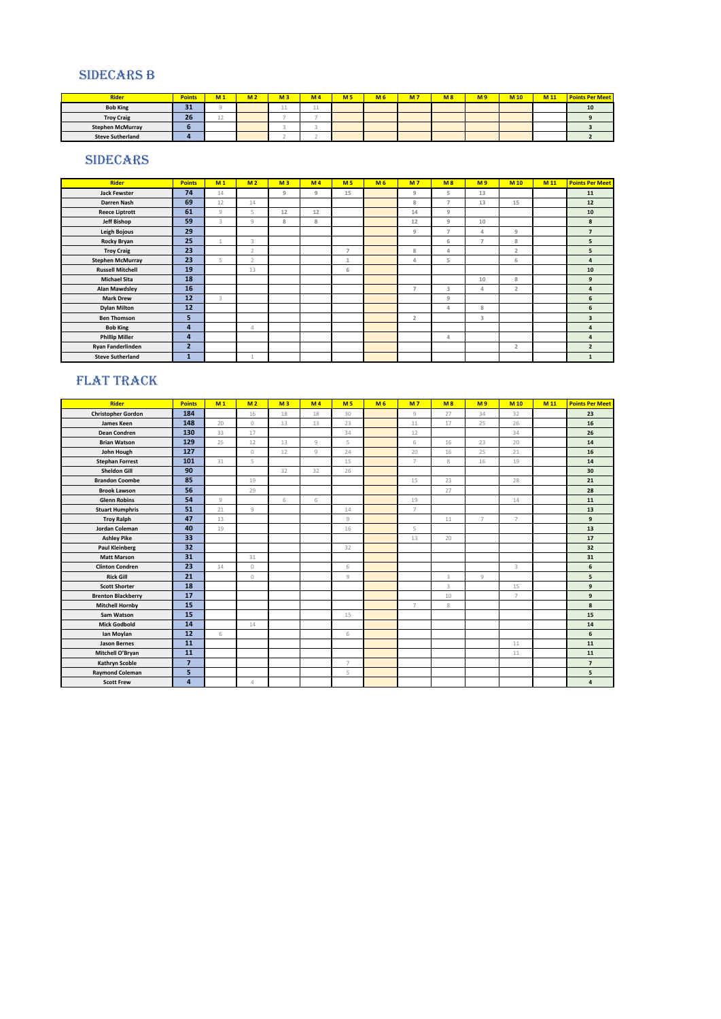#### SIDECARS B

| <b>Rider</b>            | <b>Points</b> | M <sub>1</sub> | M <sub>2</sub> | M <sub>3</sub> | M <sub>4</sub> | M <sub>5</sub> | M <sub>6</sub> | <b>M7</b> | M8 | M <sub>9</sub> | M <sub>10</sub> | M 11 | <b>Points Per Meet</b> |
|-------------------------|---------------|----------------|----------------|----------------|----------------|----------------|----------------|-----------|----|----------------|-----------------|------|------------------------|
| <b>Bob King</b>         | $\sim$<br>- - |                |                |                | . .            |                |                |           |    |                |                 |      | 10                     |
| <b>Troy Craig</b>       | 26            |                |                |                |                |                |                |           |    |                |                 |      |                        |
| <b>Stephen McMurray</b> |               |                |                |                |                |                |                |           |    |                |                 |      |                        |
| <b>Steve Sutherland</b> |               |                |                |                |                |                |                |           |    |                |                 |      |                        |
|                         |               |                |                |                |                |                |                |           |    |                |                 |      |                        |

#### SIDECARS

| <b>Rider</b>            | <b>Points</b>  | M <sub>1</sub>          | M <sub>2</sub> | M <sub>3</sub> | M <sub>4</sub> | M <sub>5</sub> | M <sub>6</sub> | M <sub>7</sub> | M8             | M <sub>9</sub> | <b>M10</b>     | M 11 | <b>Points Per Meet</b>  |
|-------------------------|----------------|-------------------------|----------------|----------------|----------------|----------------|----------------|----------------|----------------|----------------|----------------|------|-------------------------|
| <b>Jack Fewster</b>     | 74             | 14                      |                | 9              | 9              | 15             |                | 9              | 5              | 13             |                |      | 11                      |
| Darren Nash             | 69             | 12                      | 14             |                |                |                |                | 8              | $\overline{7}$ | 13             | 15             |      | 12                      |
| <b>Reece Liptrott</b>   | 61             | Q                       | 5              | 12             | 12             |                |                | 14             | 9              |                |                |      | 10                      |
| <b>Jeff Bishop</b>      | 59             | $\overline{\mathbf{3}}$ | Q              | 8              | 8              |                |                | 12             | 9              | 10             |                |      | 8                       |
| Leigh Bojous            | 29             |                         |                |                |                |                |                | 9              | $\overline{7}$ | $\overline{4}$ | 9              |      | $\overline{7}$          |
| <b>Rocky Bryan</b>      | 25             | $\mathbf{1}$            | 3              |                |                |                |                |                | 6              | $\overline{z}$ | 8              |      | 5                       |
| <b>Troy Craig</b>       | 23             |                         | $\overline{2}$ |                |                | $\overline{7}$ |                | 8              | 4              |                | $\overline{2}$ |      | 5                       |
| <b>Stephen McMurray</b> | 23             | 5                       | $\overline{2}$ |                |                | $\mathbf{1}$   |                | 4              | 5              |                | 6              |      | $\overline{4}$          |
| <b>Russell Mitchell</b> | 19             |                         | 13             |                |                | 6              |                |                |                |                |                |      | 10                      |
| <b>Michael Sita</b>     | 18             |                         |                |                |                |                |                |                |                | 10             | 8              |      | 9                       |
| <b>Alan Mawdsley</b>    | 16             |                         |                |                |                |                |                | $\overline{7}$ | 3              | 4              | $\overline{2}$ |      | $\overline{a}$          |
| <b>Mark Drew</b>        | 12             | 3                       |                |                |                |                |                |                | 9              |                |                |      | 6                       |
| <b>Dylan Milton</b>     | 12             |                         |                |                |                |                |                |                | $\Delta$       | 8              |                |      | 6                       |
| <b>Ben Thomson</b>      | 5              |                         |                |                |                |                |                | $\overline{2}$ |                | 3              |                |      | $\overline{\mathbf{3}}$ |
| <b>Bob King</b>         | 4              |                         | $\overline{4}$ |                |                |                |                |                |                |                |                |      | $\overline{4}$          |
| <b>Phillip Miller</b>   | 4              |                         |                |                |                |                |                |                | 4              |                |                |      | $\overline{4}$          |
| Ryan Fanderlinden       | $\overline{2}$ |                         |                |                |                |                |                |                |                |                | $\overline{2}$ |      | $\overline{2}$          |
| <b>Steve Sutherland</b> |                |                         |                |                |                |                |                |                |                |                |                |      | $\mathbf{1}$            |

## FLAT TRACK

| Rider                     | <b>Points</b>  | M <sub>1</sub> | M <sub>2</sub> | M <sub>3</sub> | M <sub>4</sub> | M <sub>5</sub> | M <sub>6</sub> | M <sub>7</sub> | M8 | M <sub>9</sub> | M <sub>10</sub> | M <sub>11</sub> | <b>Points Per Meet</b> |
|---------------------------|----------------|----------------|----------------|----------------|----------------|----------------|----------------|----------------|----|----------------|-----------------|-----------------|------------------------|
| <b>Christopher Gordon</b> | 184            |                | 16             | 18             | 18             | 30             |                | 9              | 27 | 34             | 32              |                 | 23                     |
| James Keen                | 148            | 20             | $\circ$        | 13             | 13             | 23             |                | 11             | 17 | 25             | 26              |                 | 16                     |
| <b>Dean Condren</b>       | 130            | 33             | 17             |                |                | 34             |                | 12             |    |                | 34              |                 | 26                     |
| <b>Brian Watson</b>       | 129            | 25             | 12             | 13             | $\overline{9}$ | 5              |                | 6              | 16 | 23             | 20              |                 | 14                     |
| John Hough                | 127            |                | $\circ$        | 12             | $\overline{9}$ | 24             |                | 20             | 16 | 25             | 21              |                 | 16                     |
| <b>Stephan Forrest</b>    | 101            | 31             | 5              |                |                | 15             |                | $\overline{7}$ | 8  | 16             | 19              |                 | 14                     |
| <b>Sheldon Gill</b>       | 90             |                |                | 32             | 32             | 26             |                |                |    |                |                 |                 | 30                     |
| <b>Brandon Coombe</b>     | 85             |                | 19             |                |                |                |                | 15             | 23 |                | 28              |                 | 21                     |
| <b>Brook Lawson</b>       | 56             |                | 29             |                |                |                |                |                | 27 |                |                 |                 | 28                     |
| <b>Glenn Robins</b>       | 54             | Q              |                | 6              | 6              |                |                | 19             |    |                | 14              |                 | 11                     |
| <b>Stuart Humphris</b>    | 51             | 21             | $\overline{9}$ |                |                | 14             |                | $\overline{7}$ |    |                |                 |                 | 13                     |
| <b>Troy Ralph</b>         | 47             | 13             |                |                |                | 9              |                |                | 11 | $\overline{7}$ | $\overline{7}$  |                 | 9                      |
| Jordan Coleman            | 40             | 19             |                |                |                | 16             |                | 5              |    |                |                 |                 | 13                     |
| <b>Ashley Pike</b>        | 33             |                |                |                |                |                |                | 13             | 20 |                |                 |                 | 17                     |
| <b>Paul Kleinberg</b>     | 32             |                |                |                |                | 32             |                |                |    |                |                 |                 | 32                     |
| <b>Matt Marson</b>        | 31             |                | 31             |                |                |                |                |                |    |                |                 |                 | 31                     |
| <b>Clinton Condren</b>    | 23             | 14             | 0              |                |                | 6              |                |                |    |                | 3               |                 | 6                      |
| <b>Rick Gill</b>          | 21             |                | $\circ$        |                |                | $\overline{9}$ |                |                | 3  | 9              |                 |                 | 5                      |
| <b>Scott Shorter</b>      | 18             |                |                |                |                |                |                |                | 3  |                | 15              |                 | 9                      |
| <b>Brenton Blackberry</b> | 17             |                |                |                |                |                |                |                | 10 |                | $\overline{7}$  |                 | 9                      |
| <b>Mitchell Hornby</b>    | 15             |                |                |                |                |                |                | $\overline{7}$ | 8  |                |                 |                 | 8                      |
| Sam Watson                | 15             |                |                |                |                | 15             |                |                |    |                |                 |                 | 15                     |
| <b>Mick Godbold</b>       | 14             |                | 14             |                |                |                |                |                |    |                |                 |                 | 14                     |
| lan Moylan                | 12             | 6              |                |                |                | 6              |                |                |    |                |                 |                 | 6                      |
| <b>Jason Bernes</b>       | 11             |                |                |                |                |                |                |                |    |                | $11\,$          |                 | 11                     |
| Mitchell O'Bryan          | 11             |                |                |                |                |                |                |                |    |                | $11$            |                 | 11                     |
| Kathryn Scoble            | $\overline{7}$ |                |                |                |                | $\overline{7}$ |                |                |    |                |                 |                 | $\overline{7}$         |
| <b>Raymond Coleman</b>    | 5              |                |                |                |                | 5              |                |                |    |                |                 |                 | 5                      |
| <b>Scott Frew</b>         | $\overline{a}$ |                | $\overline{4}$ |                |                |                |                |                |    |                |                 |                 | $\overline{4}$         |